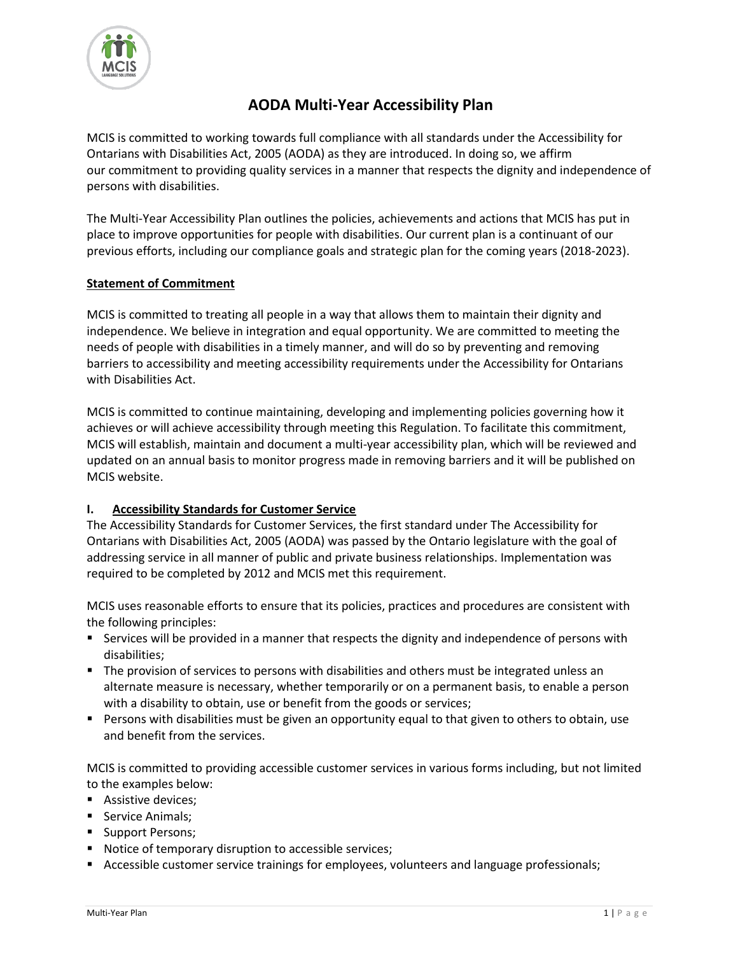

# **AODA Multi-Year Accessibility Plan**

MCIS is committed to working towards full compliance with all standards under the Accessibility for Ontarians with Disabilities Act, 2005 (AODA) as they are introduced. In doing so, we affirm our commitment to providing quality services in a manner that respects the dignity and independence of persons with disabilities.

The Multi-Year Accessibility Plan outlines the policies, achievements and actions that MCIS has put in place to improve opportunities for people with disabilities. Our current plan is a continuant of our previous efforts, including our compliance goals and strategic plan for the coming years (2018-2023).

## **Statement of Commitment**

MCIS is committed to treating all people in a way that allows them to maintain their dignity and independence. We believe in integration and equal opportunity. We are committed to meeting the needs of people with disabilities in a timely manner, and will do so by preventing and removing barriers to accessibility and meeting accessibility requirements under the Accessibility for Ontarians with Disabilities Act.

MCIS is committed to continue maintaining, developing and implementing policies governing how it achieves or will achieve accessibility through meeting this Regulation. To facilitate this commitment, MCIS will establish, maintain and document a multi-year accessibility plan, which will be reviewed and updated on an annual basis to monitor progress made in removing barriers and it will be published on MCIS website.

#### **I. Accessibility Standards for Customer Service**

The Accessibility Standards for Customer Services, the first standard under The Accessibility for Ontarians with Disabilities Act, 2005 (AODA) was passed by the Ontario legislature with the goal of addressing service in all manner of public and private business relationships. Implementation was required to be completed by 2012 and MCIS met this requirement.

MCIS uses reasonable efforts to ensure that its policies, practices and procedures are consistent with the following principles:

- Services will be provided in a manner that respects the dignity and independence of persons with disabilities;
- The provision of services to persons with disabilities and others must be integrated unless an alternate measure is necessary, whether temporarily or on a permanent basis, to enable a person with a disability to obtain, use or benefit from the goods or services;
- **Persons with disabilities must be given an opportunity equal to that given to others to obtain, use** and benefit from the services.

MCIS is committed to providing accessible customer services in various forms including, but not limited to the examples below:

- Assistive devices;
- Service Animals;
- Support Persons;
- Notice of temporary disruption to accessible services;
- **Accessible customer service trainings for employees, volunteers and language professionals;**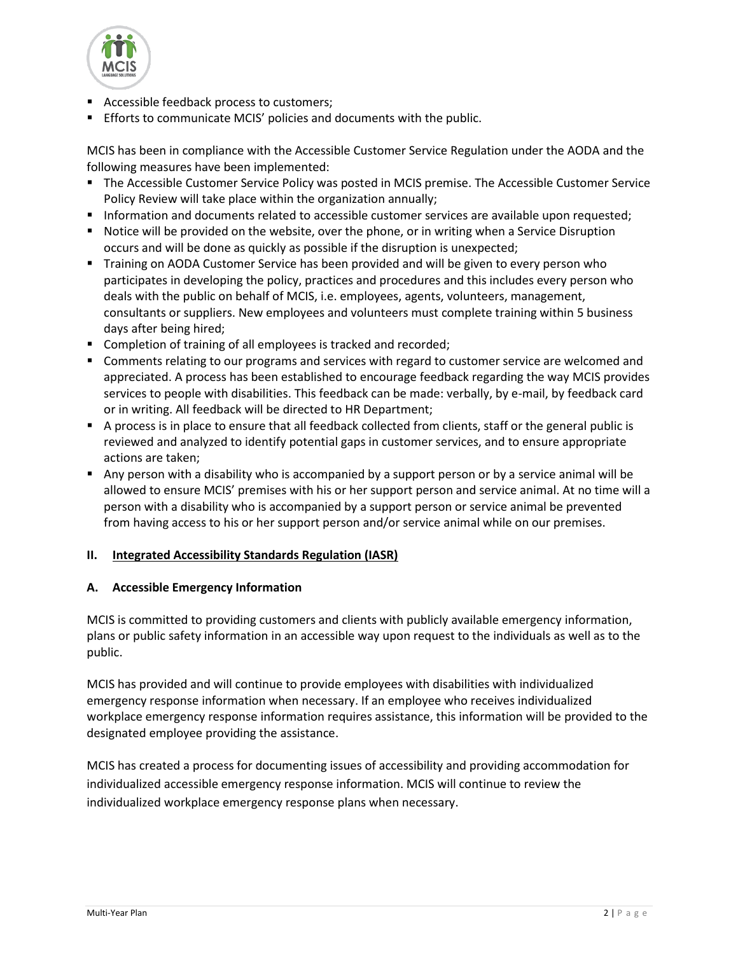

- Accessible feedback process to customers;
- **Efforts to communicate MCIS' policies and documents with the public.**

MCIS has been in compliance with the Accessible Customer Service Regulation under the AODA and the following measures have been implemented:

- **The Accessible Customer Service Policy was posted in MCIS premise. The Accessible Customer Service** Policy Review will take place within the organization annually;
- **Information and documents related to accessible customer services are available upon requested;**
- **Notice will be provided on the website, over the phone, or in writing when a Service Disruption** occurs and will be done as quickly as possible if the disruption is unexpected;
- Training on AODA Customer Service has been provided and will be given to every person who participates in developing the policy, practices and procedures and this includes every person who deals with the public on behalf of MCIS, i.e. employees, agents, volunteers, management, consultants or suppliers. New employees and volunteers must complete training within 5 business days after being hired;
- **Completion of training of all employees is tracked and recorded;**
- **Comments relating to our programs and services with regard to customer service are welcomed and** appreciated. A process has been established to encourage feedback regarding the way MCIS provides services to people with disabilities. This feedback can be made: verbally, by e-mail, by feedback card or in writing. All feedback will be directed to HR Department;
- A process is in place to ensure that all feedback collected from clients, staff or the general public is reviewed and analyzed to identify potential gaps in customer services, and to ensure appropriate actions are taken;
- Any person with a disability who is accompanied by a support person or by a service animal will be allowed to ensure MCIS' premises with his or her support person and service animal. At no time will a person with a disability who is accompanied by a support person or service animal be prevented from having access to his or her support person and/or service animal while on our premises.

#### **II. Integrated Accessibility Standards Regulation (IASR)**

#### **A. Accessible Emergency Information**

MCIS is committed to providing customers and clients with publicly available emergency information, plans or public safety information in an accessible way upon request to the individuals as well as to the public.

MCIS has provided and will continue to provide employees with disabilities with individualized emergency response information when necessary. If an employee who receives individualized workplace emergency response information requires assistance, this information will be provided to the designated employee providing the assistance.

MCIS has created a process for documenting issues of accessibility and providing accommodation for individualized accessible emergency response information. MCIS will continue to review the individualized workplace emergency response plans when necessary.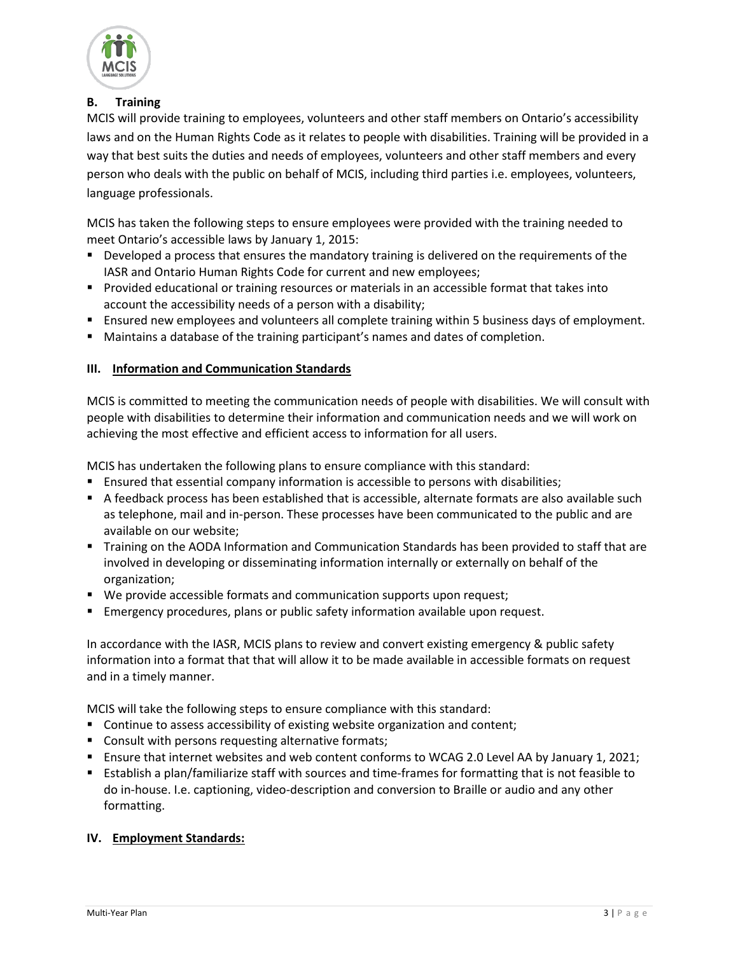

## **B. Training**

MCIS will provide training to employees, volunteers and other staff members on Ontario's accessibility laws and on the Human Rights Code as it relates to people with disabilities. Training will be provided in a way that best suits the duties and needs of employees, volunteers and other staff members and every person who deals with the public on behalf of MCIS, including third parties i.e. employees, volunteers, language professionals.

MCIS has taken the following steps to ensure employees were provided with the training needed to meet Ontario's accessible laws by January 1, 2015:

- **Developed a process that ensures the mandatory training is delivered on the requirements of the** IASR and Ontario Human Rights Code for current and new employees;
- **Provided educational or training resources or materials in an accessible format that takes into** account the accessibility needs of a person with a disability;
- Ensured new employees and volunteers all complete training within 5 business days of employment.
- Maintains a database of the training participant's names and dates of completion.

### **III. Information and Communication Standards**

MCIS is committed to meeting the communication needs of people with disabilities. We will consult with people with disabilities to determine their information and communication needs and we will work on achieving the most effective and efficient access to information for all users.

MCIS has undertaken the following plans to ensure compliance with this standard:

- Ensured that essential company information is accessible to persons with disabilities;
- A feedback process has been established that is accessible, alternate formats are also available such as telephone, mail and in-person. These processes have been communicated to the public and are available on our website;
- **Training on the AODA Information and Communication Standards has been provided to staff that are** involved in developing or disseminating information internally or externally on behalf of the organization;
- We provide accessible formats and communication supports upon request;
- **Emergency procedures, plans or public safety information available upon request.**

In accordance with the IASR, MCIS plans to review and convert existing emergency & public safety information into a format that that will allow it to be made available in accessible formats on request and in a timely manner.

MCIS will take the following steps to ensure compliance with this standard:

- Continue to assess accessibility of existing website organization and content;
- **Consult with persons requesting alternative formats;**
- Ensure that internet websites and web content conforms to WCAG 2.0 Level AA by January 1, 2021;
- Establish a plan/familiarize staff with sources and time-frames for formatting that is not feasible to do in-house. I.e. captioning, video-description and conversion to Braille or audio and any other formatting.

#### **IV. Employment Standards:**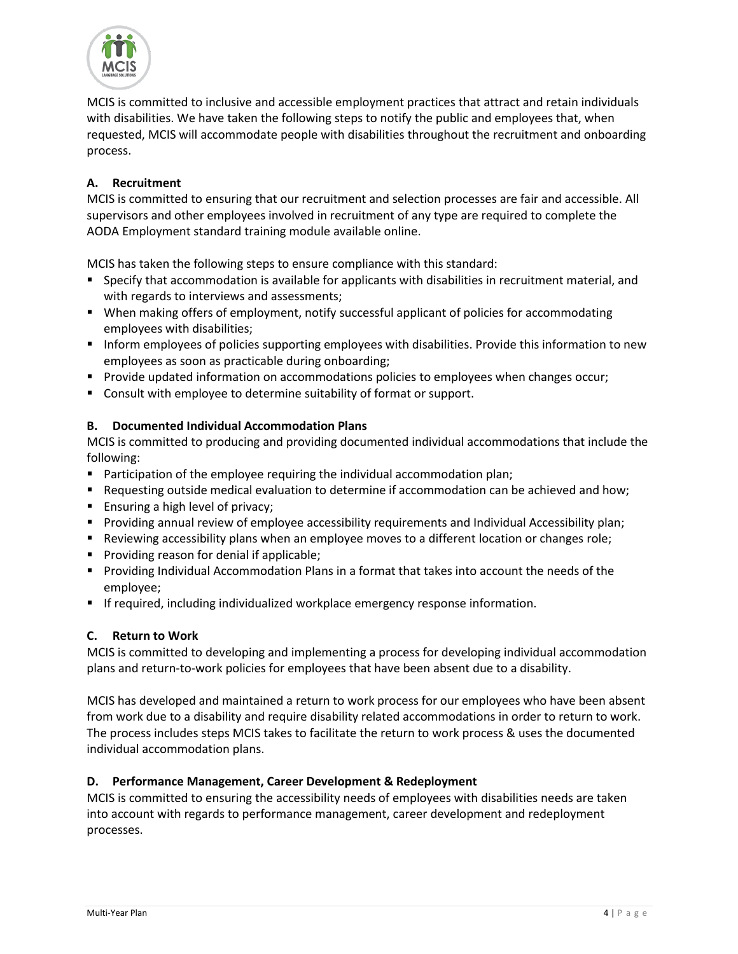

MCIS is committed to inclusive and accessible employment practices that attract and retain individuals with disabilities. We have taken the following steps to notify the public and employees that, when requested, MCIS will accommodate people with disabilities throughout the recruitment and onboarding process.

## **A. Recruitment**

MCIS is committed to ensuring that our recruitment and selection processes are fair and accessible. All supervisors and other employees involved in recruitment of any type are required to complete the AODA Employment standard training module available online.

MCIS has taken the following steps to ensure compliance with this standard:

- Specify that accommodation is available for applicants with disabilities in recruitment material, and with regards to interviews and assessments;
- When making offers of employment, notify successful applicant of policies for accommodating employees with disabilities;
- Inform employees of policies supporting employees with disabilities. Provide this information to new employees as soon as practicable during onboarding;
- **Provide updated information on accommodations policies to employees when changes occur;**
- Consult with employee to determine suitability of format or support.

### **B. Documented Individual Accommodation Plans**

MCIS is committed to producing and providing documented individual accommodations that include the following:

- **Participation of the employee requiring the individual accommodation plan;**
- **Requesting outside medical evaluation to determine if accommodation can be achieved and how;**
- **Ensuring a high level of privacy;**
- **Providing annual review of employee accessibility requirements and Individual Accessibility plan;**
- **Reviewing accessibility plans when an employee moves to a different location or changes role;**
- **Providing reason for denial if applicable;**
- **Providing Individual Accommodation Plans in a format that takes into account the needs of the** employee;
- **If required, including individualized workplace emergency response information.**

## **C. Return to Work**

MCIS is committed to developing and implementing a process for developing individual accommodation plans and return-to-work policies for employees that have been absent due to a disability.

MCIS has developed and maintained a return to work process for our employees who have been absent from work due to a disability and require disability related accommodations in order to return to work. The process includes steps MCIS takes to facilitate the return to work process & uses the documented individual accommodation plans.

#### **D. Performance Management, Career Development & Redeployment**

MCIS is committed to ensuring the accessibility needs of employees with disabilities needs are taken into account with regards to performance management, career development and redeployment processes.